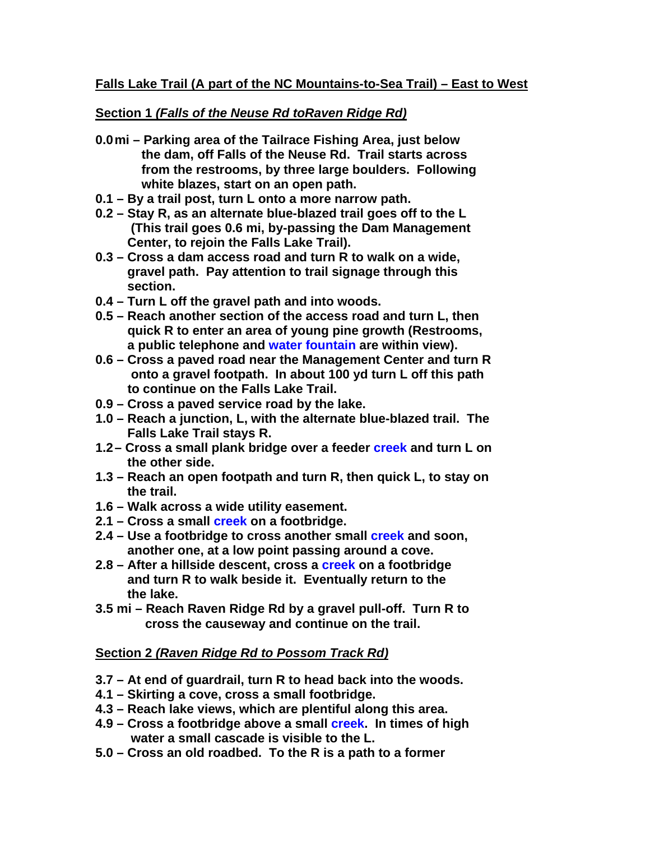# **Section 1** *(Falls of the Neuse Rd toRaven Ridge Rd)*

- **0.0 mi Parking area of the Tailrace Fishing Area, just below the dam, off Falls of the Neuse Rd. Trail starts across from the restrooms, by three large boulders. Following white blazes, start on an open path.**
- **0.1 By a trail post, turn L onto a more narrow path.**
- **0.2 Stay R, as an alternate blue-blazed trail goes off to the L (This trail goes 0.6 mi, by-passing the Dam Management Center, to rejoin the Falls Lake Trail).**
- **0.3 Cross a dam access road and turn R to walk on a wide, gravel path. Pay attention to trail signage through this section.**
- **0.4 Turn L off the gravel path and into woods.**
- **0.5 Reach another section of the access road and turn L, then quick R to enter an area of young pine growth (Restrooms, a public telephone and water fountain are within view).**
- **0.6 Cross a paved road near the Management Center and turn R onto a gravel footpath. In about 100 yd turn L off this path to continue on the Falls Lake Trail.**
- **0.9 Cross a paved service road by the lake.**
- **1.0 Reach a junction, L, with the alternate blue-blazed trail. The Falls Lake Trail stays R.**
- **1.2 Cross a small plank bridge over a feeder creek and turn L on the other side.**
- **1.3 Reach an open footpath and turn R, then quick L, to stay on the trail.**
- **1.6 Walk across a wide utility easement.**
- **2.1 Cross a small creek on a footbridge.**
- **2.4 Use a footbridge to cross another small creek and soon, another one, at a low point passing around a cove.**
- **2.8 After a hillside descent, cross a creek on a footbridge and turn R to walk beside it. Eventually return to the the lake.**
- **3.5 mi Reach Raven Ridge Rd by a gravel pull-off. Turn R to cross the causeway and continue on the trail.**

# **Section 2** *(Raven Ridge Rd to Possom Track Rd)*

- **3.7 At end of guardrail, turn R to head back into the woods.**
- **4.1 Skirting a cove, cross a small footbridge.**
- **4.3 Reach lake views, which are plentiful along this area.**
- **4.9 Cross a footbridge above a small creek. In times of high water a small cascade is visible to the L.**
- **5.0 Cross an old roadbed. To the R is a path to a former**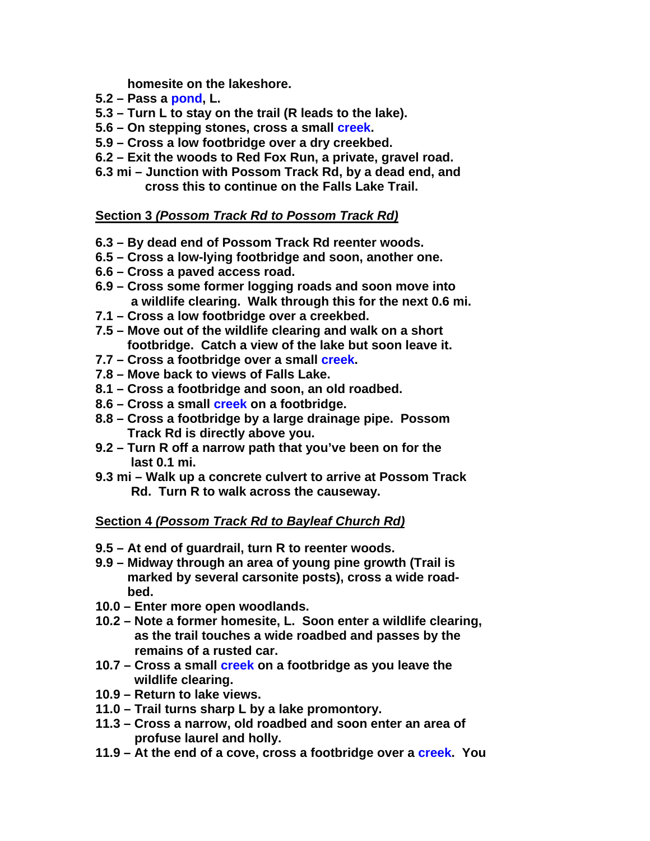**homesite on the lakeshore.** 

- **5.2 Pass a pond, L.**
- **5.3 Turn L to stay on the trail (R leads to the lake).**
- **5.6 On stepping stones, cross a small creek.**
- **5.9 Cross a low footbridge over a dry creekbed.**
- **6.2 Exit the woods to Red Fox Run, a private, gravel road.**
- **6.3 mi Junction with Possom Track Rd, by a dead end, and cross this to continue on the Falls Lake Trail.**

## **Section 3** *(Possom Track Rd to Possom Track Rd)*

- **6.3 By dead end of Possom Track Rd reenter woods.**
- **6.5 Cross a low-lying footbridge and soon, another one.**
- **6.6 Cross a paved access road.**
- **6.9 Cross some former logging roads and soon move into a wildlife clearing. Walk through this for the next 0.6 mi.**
- **7.1 Cross a low footbridge over a creekbed.**
- **7.5 Move out of the wildlife clearing and walk on a short footbridge. Catch a view of the lake but soon leave it.**
- **7.7 Cross a footbridge over a small creek.**
- **7.8 Move back to views of Falls Lake.**
- **8.1 Cross a footbridge and soon, an old roadbed.**
- **8.6 Cross a small creek on a footbridge.**
- **8.8 Cross a footbridge by a large drainage pipe. Possom Track Rd is directly above you.**
- **9.2 Turn R off a narrow path that you've been on for the last 0.1 mi.**
- **9.3 mi Walk up a concrete culvert to arrive at Possom Track Rd. Turn R to walk across the causeway.**

# **Section 4** *(Possom Track Rd to Bayleaf Church Rd)*

- **9.5 At end of guardrail, turn R to reenter woods.**
- **9.9 Midway through an area of young pine growth (Trail is marked by several carsonite posts), cross a wide road bed.**
- **10.0 Enter more open woodlands.**
- **10.2 Note a former homesite, L. Soon enter a wildlife clearing, as the trail touches a wide roadbed and passes by the remains of a rusted car.**
- **10.7 Cross a small creek on a footbridge as you leave the wildlife clearing.**
- **10.9 Return to lake views.**
- **11.0 Trail turns sharp L by a lake promontory.**
- **11.3 Cross a narrow, old roadbed and soon enter an area of profuse laurel and holly.**
- **11.9 At the end of a cove, cross a footbridge over a creek. You**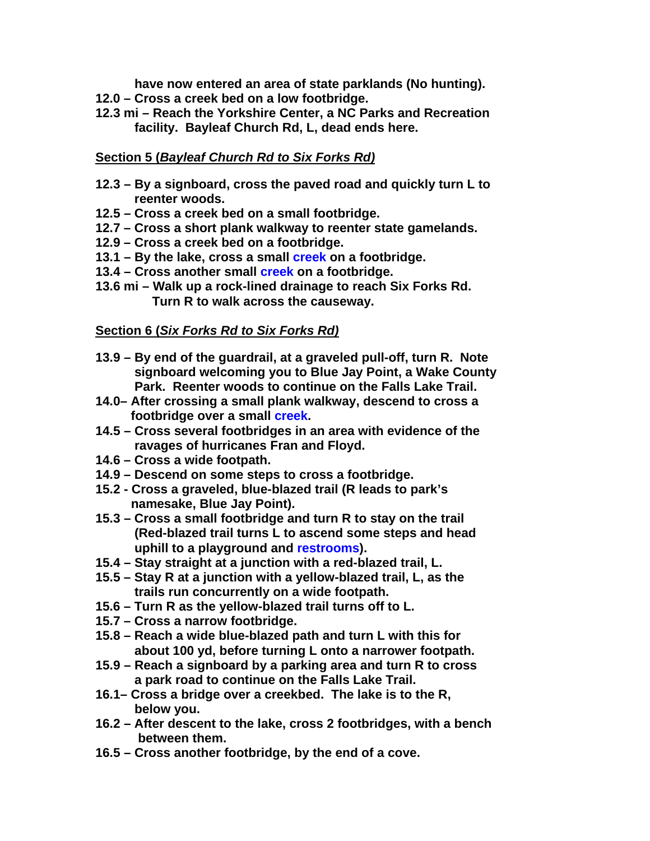**have now entered an area of state parklands (No hunting).** 

- **12.0 Cross a creek bed on a low footbridge.**
- **12.3 mi Reach the Yorkshire Center, a NC Parks and Recreation facility. Bayleaf Church Rd, L, dead ends here.**

# **Section 5 (***Bayleaf Church Rd to Six Forks Rd)*

- **12.3 By a signboard, cross the paved road and quickly turn L to reenter woods.**
- **12.5 Cross a creek bed on a small footbridge.**
- **12.7 Cross a short plank walkway to reenter state gamelands.**
- **12.9 Cross a creek bed on a footbridge.**
- **13.1 By the lake, cross a small creek on a footbridge.**
- **13.4 Cross another small creek on a footbridge.**
- **13.6 mi Walk up a rock-lined drainage to reach Six Forks Rd. Turn R to walk across the causeway.**

## **Section 6 (***Six Forks Rd to Six Forks Rd)*

- **13.9 By end of the guardrail, at a graveled pull-off, turn R. Note signboard welcoming you to Blue Jay Point, a Wake County Park. Reenter woods to continue on the Falls Lake Trail.**
- **14.0– After crossing a small plank walkway, descend to cross a footbridge over a small creek.**
- **14.5 Cross several footbridges in an area with evidence of the ravages of hurricanes Fran and Floyd.**
- **14.6 Cross a wide footpath.**
- **14.9 Descend on some steps to cross a footbridge.**
- **15.2 Cross a graveled, blue-blazed trail (R leads to park's namesake, Blue Jay Point).**
- **15.3 Cross a small footbridge and turn R to stay on the trail (Red-blazed trail turns L to ascend some steps and head uphill to a playground and restrooms).**
- **15.4 Stay straight at a junction with a red-blazed trail, L.**
- **15.5 Stay R at a junction with a yellow-blazed trail, L, as the trails run concurrently on a wide footpath.**
- **15.6 Turn R as the yellow-blazed trail turns off to L.**
- **15.7 Cross a narrow footbridge.**
- **15.8 Reach a wide blue-blazed path and turn L with this for about 100 yd, before turning L onto a narrower footpath.**
- **15.9 Reach a signboard by a parking area and turn R to cross a park road to continue on the Falls Lake Trail.**
- **16.1– Cross a bridge over a creekbed. The lake is to the R, below you.**
- **16.2 After descent to the lake, cross 2 footbridges, with a bench between them.**
- **16.5 Cross another footbridge, by the end of a cove.**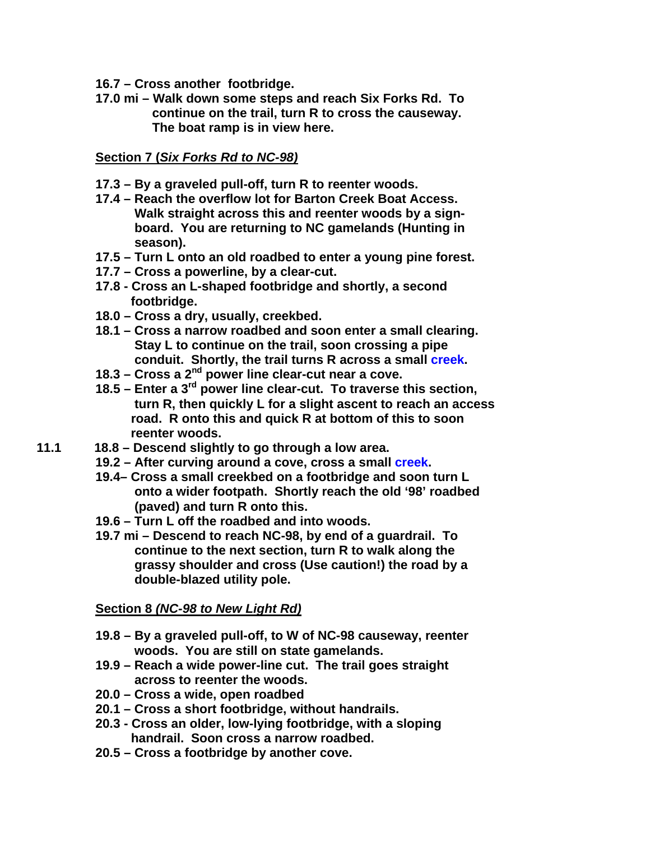- **16.7 Cross another footbridge.**
- **17.0 mi Walk down some steps and reach Six Forks Rd. To continue on the trail, turn R to cross the causeway. The boat ramp is in view here.**

**Section 7 (***Six Forks Rd to NC-98)*

- **17.3 By a graveled pull-off, turn R to reenter woods.**
- **17.4 Reach the overflow lot for Barton Creek Boat Access. Walk straight across this and reenter woods by a sign board. You are returning to NC gamelands (Hunting in season).**
- **17.5 Turn L onto an old roadbed to enter a young pine forest.**
- **17.7 Cross a powerline, by a clear-cut.**
- **17.8 Cross an L-shaped footbridge and shortly, a second footbridge.**
- **18.0 Cross a dry, usually, creekbed.**
- **18.1 Cross a narrow roadbed and soon enter a small clearing. Stay L to continue on the trail, soon crossing a pipe conduit. Shortly, the trail turns R across a small creek.**
- **18.3 Cross a 2nd power line clear-cut near a cove.**
- **18.5 Enter a 3rd power line clear-cut. To traverse this section, turn R, then quickly L for a slight ascent to reach an access road. R onto this and quick R at bottom of this to soon reenter woods.**
- **11.1 18.8 Descend slightly to go through a low area.** 
	- **19.2 After curving around a cove, cross a small creek.**
	- **19.4– Cross a small creekbed on a footbridge and soon turn L onto a wider footpath. Shortly reach the old '98' roadbed (paved) and turn R onto this.**
	- **19.6 Turn L off the roadbed and into woods.**
	- **19.7 mi Descend to reach NC-98, by end of a guardrail. To continue to the next section, turn R to walk along the grassy shoulder and cross (Use caution!) the road by a double-blazed utility pole.**

### **Section 8** *(NC-98 to New Light Rd)*

- **19.8 By a graveled pull-off, to W of NC-98 causeway, reenter woods. You are still on state gamelands.**
- **19.9 Reach a wide power-line cut. The trail goes straight across to reenter the woods.**
- **20.0 Cross a wide, open roadbed**
- **20.1 Cross a short footbridge, without handrails.**
- **20.3 Cross an older, low-lying footbridge, with a sloping handrail. Soon cross a narrow roadbed.**
- **20.5 Cross a footbridge by another cove.**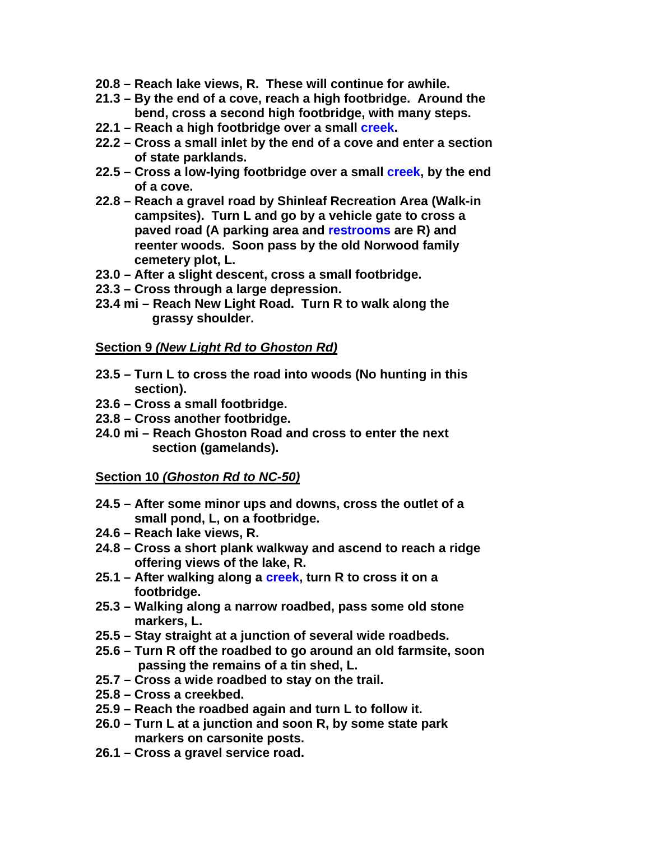- **20.8 Reach lake views, R. These will continue for awhile.**
- **21.3 By the end of a cove, reach a high footbridge. Around the bend, cross a second high footbridge, with many steps.**
- **22.1 Reach a high footbridge over a small creek.**
- **22.2 Cross a small inlet by the end of a cove and enter a section of state parklands.**
- **22.5 Cross a low-lying footbridge over a small creek, by the end of a cove.**
- **22.8 Reach a gravel road by Shinleaf Recreation Area (Walk-in campsites). Turn L and go by a vehicle gate to cross a paved road (A parking area and restrooms are R) and reenter woods. Soon pass by the old Norwood family cemetery plot, L.**
- **23.0 After a slight descent, cross a small footbridge.**
- **23.3 Cross through a large depression.**
- **23.4 mi Reach New Light Road. Turn R to walk along the grassy shoulder.**

## **Section 9** *(New Light Rd to Ghoston Rd)*

- **23.5 Turn L to cross the road into woods (No hunting in this section).**
- **23.6 Cross a small footbridge.**
- **23.8 Cross another footbridge.**
- **24.0 mi Reach Ghoston Road and cross to enter the next section (gamelands).**

### **Section 10** *(Ghoston Rd to NC-50)*

- **24.5 After some minor ups and downs, cross the outlet of a small pond, L, on a footbridge.**
- **24.6 Reach lake views, R.**
- **24.8 Cross a short plank walkway and ascend to reach a ridge offering views of the lake, R.**
- **25.1 After walking along a creek, turn R to cross it on a footbridge.**
- **25.3 Walking along a narrow roadbed, pass some old stone markers, L.**
- **25.5 Stay straight at a junction of several wide roadbeds.**
- **25.6 Turn R off the roadbed to go around an old farmsite, soon passing the remains of a tin shed, L.**
- **25.7 Cross a wide roadbed to stay on the trail.**
- **25.8 Cross a creekbed.**
- **25.9 Reach the roadbed again and turn L to follow it.**
- **26.0 Turn L at a junction and soon R, by some state park markers on carsonite posts.**
- **26.1 Cross a gravel service road.**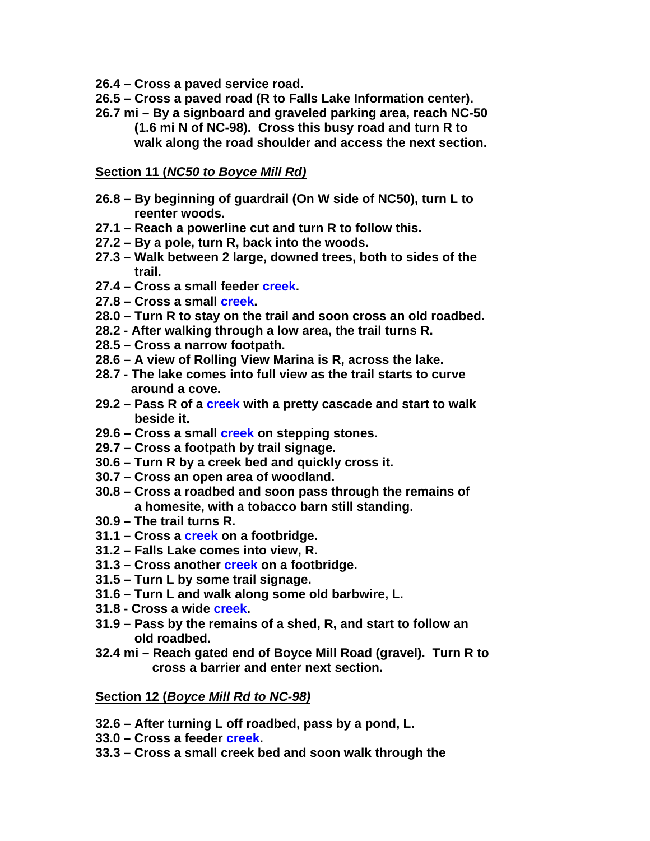- **26.4 Cross a paved service road.**
- **26.5 Cross a paved road (R to Falls Lake Information center).**
- **26.7 mi By a signboard and graveled parking area, reach NC-50 (1.6 mi N of NC-98). Cross this busy road and turn R to walk along the road shoulder and access the next section.**

#### **Section 11 (***NC50 to Boyce Mill Rd)*

- **26.8 By beginning of guardrail (On W side of NC50), turn L to reenter woods.**
- **27.1 Reach a powerline cut and turn R to follow this.**
- **27.2 By a pole, turn R, back into the woods.**
- **27.3 Walk between 2 large, downed trees, both to sides of the trail.**
- **27.4 Cross a small feeder creek.**
- **27.8 Cross a small creek.**
- **28.0 Turn R to stay on the trail and soon cross an old roadbed.**
- **28.2 After walking through a low area, the trail turns R.**
- **28.5 Cross a narrow footpath.**
- **28.6 A view of Rolling View Marina is R, across the lake.**
- **28.7 The lake comes into full view as the trail starts to curve around a cove.**
- **29.2 Pass R of a creek with a pretty cascade and start to walk beside it.**
- **29.6 Cross a small creek on stepping stones.**
- **29.7 Cross a footpath by trail signage.**
- **30.6 Turn R by a creek bed and quickly cross it.**
- **30.7 Cross an open area of woodland.**
- **30.8 Cross a roadbed and soon pass through the remains of a homesite, with a tobacco barn still standing.**
- **30.9 The trail turns R.**
- **31.1 Cross a creek on a footbridge.**
- **31.2 Falls Lake comes into view, R.**
- **31.3 Cross another creek on a footbridge.**
- **31.5 Turn L by some trail signage.**
- **31.6 Turn L and walk along some old barbwire, L.**
- **31.8 Cross a wide creek.**
- **31.9 Pass by the remains of a shed, R, and start to follow an old roadbed.**
- **32.4 mi Reach gated end of Boyce Mill Road (gravel). Turn R to cross a barrier and enter next section.**

#### **Section 12 (***Boyce Mill Rd to NC-98)*

- **32.6 After turning L off roadbed, pass by a pond, L.**
- **33.0 Cross a feeder creek.**
- **33.3 Cross a small creek bed and soon walk through the**